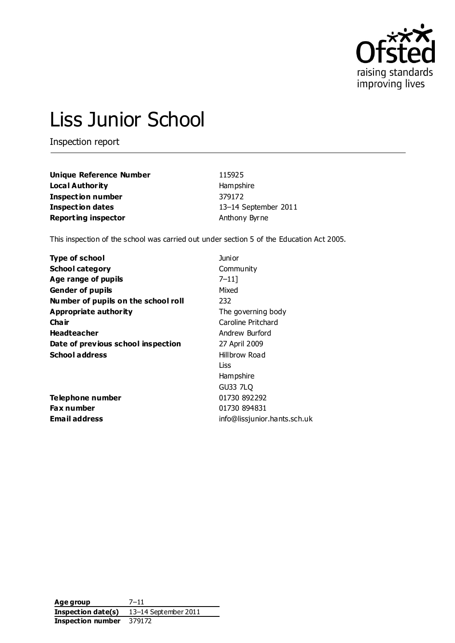

# Liss Junior School

Inspection report

| <b>Unique Reference Number</b> | 115925               |
|--------------------------------|----------------------|
| <b>Local Authority</b>         | Hampshire            |
| <b>Inspection number</b>       | 379172               |
| <b>Inspection dates</b>        | 13-14 September 2011 |
| <b>Reporting inspector</b>     | Anthony Byrne        |

This inspection of the school was carried out under section 5 of the Education Act 2005.

| <b>Type of school</b>               | Junior                       |
|-------------------------------------|------------------------------|
| <b>School category</b>              | Community                    |
| Age range of pupils                 | $7 - 11$                     |
| <b>Gender of pupils</b>             | Mixed                        |
| Number of pupils on the school roll | 232                          |
| Appropriate authority               | The governing body           |
| Cha ir                              | Caroline Pritchard           |
| <b>Headteacher</b>                  | Andrew Burford               |
| Date of previous school inspection  | 27 April 2009                |
| <b>School address</b>               | Hillbrow Road                |
|                                     | Liss                         |
|                                     | Hampshire                    |
|                                     | GU33 7LQ                     |
| Telephone number                    | 01730 892292                 |
| <b>Fax number</b>                   | 01730 894831                 |
| <b>Email address</b>                | info@lissjunior.hants.sch.uk |
|                                     |                              |

**Age group** 7–11 **Inspection date(s)** 13–14 September 2011 **Inspection number** 379172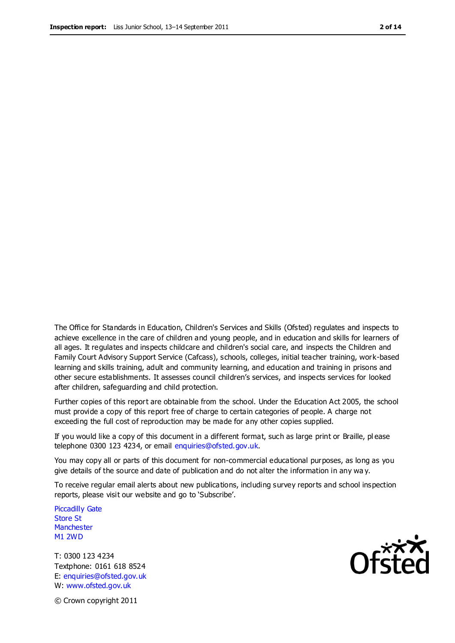The Office for Standards in Education, Children's Services and Skills (Ofsted) regulates and inspects to achieve excellence in the care of children and young people, and in education and skills for learners of all ages. It regulates and inspects childcare and children's social care, and inspects the Children and Family Court Advisory Support Service (Cafcass), schools, colleges, initial teacher training, work-based learning and skills training, adult and community learning, and education and training in prisons and other secure establishments. It assesses council children's services, and inspects services for looked after children, safeguarding and child protection.

Further copies of this report are obtainable from the school. Under the Education Act 2005, the school must provide a copy of this report free of charge to certain categories of people. A charge not exceeding the full cost of reproduction may be made for any other copies supplied.

If you would like a copy of this document in a different format, such as large print or Braille, pl ease telephone 0300 123 4234, or email enquiries@ofsted.gov.uk.

You may copy all or parts of this document for non-commercial educational purposes, as long as you give details of the source and date of publication and do not alter the information in any wa y.

To receive regular email alerts about new publications, including survey reports and school inspection reports, please visit our website and go to 'Subscribe'.

Piccadilly Gate Store St **Manchester** M1 2WD

T: 0300 123 4234 Textphone: 0161 618 8524 E: enquiries@ofsted.gov.uk W: www.ofsted.gov.uk

**Ofsted** 

© Crown copyright 2011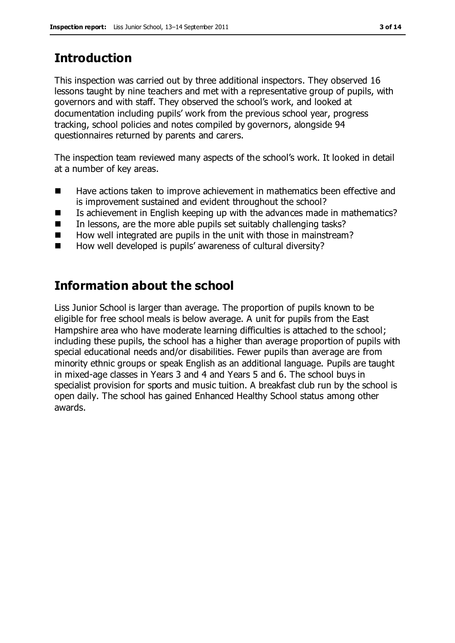# **Introduction**

This inspection was carried out by three additional inspectors. They observed 16 lessons taught by nine teachers and met with a representative group of pupils, with governors and with staff. They observed the school's work, and looked at documentation including pupils' work from the previous school year, progress tracking, school policies and notes compiled by governors, alongside 94 questionnaires returned by parents and carers.

The inspection team reviewed many aspects of the school's work. It looked in detail at a number of key areas.

- Have actions taken to improve achievement in mathematics been effective and is improvement sustained and evident throughout the school?
- Is achievement in English keeping up with the advances made in mathematics?
- $\blacksquare$  In lessons, are the more able pupils set suitably challenging tasks?
- How well integrated are pupils in the unit with those in mainstream?
- How well developed is pupils' awareness of cultural diversity?

# **Information about the school**

Liss Junior School is larger than average. The proportion of pupils known to be eligible for free school meals is below average. A unit for pupils from the East Hampshire area who have moderate learning difficulties is attached to the school; including these pupils, the school has a higher than average proportion of pupils with special educational needs and/or disabilities. Fewer pupils than average are from minority ethnic groups or speak English as an additional language. Pupils are taught in mixed-age classes in Years 3 and 4 and Years 5 and 6. The school buys in specialist provision for sports and music tuition. A breakfast club run by the school is open daily. The school has gained Enhanced Healthy School status among other awards.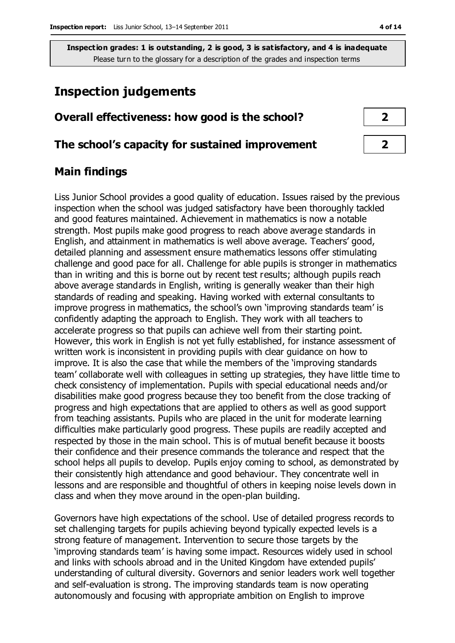# **Inspection judgements**

## **Overall effectiveness: how good is the school? 2**

#### **The school's capacity for sustained improvement 2**

#### **Main findings**

Liss Junior School provides a good quality of education. Issues raised by the previous inspection when the school was judged satisfactory have been thoroughly tackled and good features maintained. Achievement in mathematics is now a notable strength. Most pupils make good progress to reach above average standards in English, and attainment in mathematics is well above average. Teachers' good, detailed planning and assessment ensure mathematics lessons offer stimulating challenge and good pace for all. Challenge for able pupils is stronger in mathematics than in writing and this is borne out by recent test results; although pupils reach above average standards in English, writing is generally weaker than their high standards of reading and speaking. Having worked with external consultants to improve progress in mathematics, the school's own 'improving standards team' is confidently adapting the approach to English. They work with all teachers to accelerate progress so that pupils can achieve well from their starting point. However, this work in English is not yet fully established, for instance assessment of written work is inconsistent in providing pupils with clear guidance on how to improve. It is also the case that while the members of the 'improving standards team' collaborate well with colleagues in setting up strategies, they have little time to check consistency of implementation. Pupils with special educational needs and/or disabilities make good progress because they too benefit from the close tracking of progress and high expectations that are applied to others as well as good support from teaching assistants. Pupils who are placed in the unit for moderate learning difficulties make particularly good progress. These pupils are readily accepted and respected by those in the main school. This is of mutual benefit because it boosts their confidence and their presence commands the tolerance and respect that the school helps all pupils to develop. Pupils enjoy coming to school, as demonstrated by their consistently high attendance and good behaviour. They concentrate well in lessons and are responsible and thoughtful of others in keeping noise levels down in class and when they move around in the open-plan building.

Governors have high expectations of the school. Use of detailed progress records to set challenging targets for pupils achieving beyond typically expected levels is a strong feature of management. Intervention to secure those targets by the 'improving standards team' is having some impact. Resources widely used in school and links with schools abroad and in the United Kingdom have extended pupils' understanding of cultural diversity. Governors and senior leaders work well together and self-evaluation is strong. The improving standards team is now operating autonomously and focusing with appropriate ambition on English to improve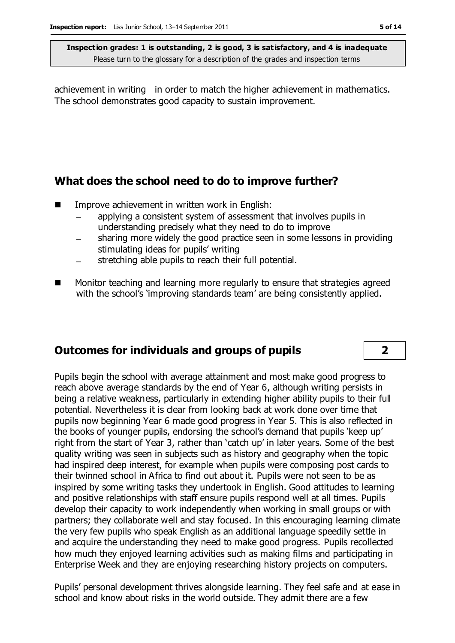achievement in writing in order to match the higher achievement in mathematics. The school demonstrates good capacity to sustain improvement.

## **What does the school need to do to improve further?**

- Improve achievement in written work in English:
	- applying a consistent system of assessment that involves pupils in understanding precisely what they need to do to improve
	- sharing more widely the good practice seen in some lessons in providing stimulating ideas for pupils' writing
	- stretching able pupils to reach their full potential.  $\overline{\phantom{0}}$
- Monitor teaching and learning more regularly to ensure that strategies agreed with the school's 'improving standards team' are being consistently applied.

## **Outcomes for individuals and groups of pupils 2**

Pupils begin the school with average attainment and most make good progress to reach above average standards by the end of Year 6, although writing persists in being a relative weakness, particularly in extending higher ability pupils to their full potential. Nevertheless it is clear from looking back at work done over time that pupils now beginning Year 6 made good progress in Year 5. This is also reflected in the books of younger pupils, endorsing the school's demand that pupils 'keep up' right from the start of Year 3, rather than 'catch up' in later years. Some of the best quality writing was seen in subjects such as history and geography when the topic had inspired deep interest, for example when pupils were composing post cards to their twinned school in Africa to find out about it. Pupils were not seen to be as inspired by some writing tasks they undertook in English. Good attitudes to learning and positive relationships with staff ensure pupils respond well at all times. Pupils develop their capacity to work independently when working in small groups or with partners; they collaborate well and stay focused. In this encouraging learning climate the very few pupils who speak English as an additional language speedily settle in and acquire the understanding they need to make good progress. Pupils recollected how much they enjoyed learning activities such as making films and participating in Enterprise Week and they are enjoying researching history projects on computers.

Pupils' personal development thrives alongside learning. They feel safe and at ease in school and know about risks in the world outside. They admit there are a few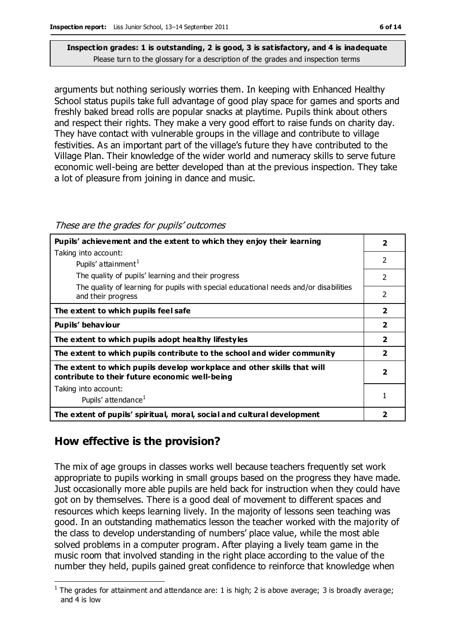arguments but nothing seriously worries them. In keeping with Enhanced Healthy School status pupils take full advantage of good play space for games and sports and freshly baked bread rolls are popular snacks at playtime. Pupils think about others and respect their rights. They make a very good effort to raise funds on charity day. They have contact with vulnerable groups in the village and contribute to village festivities. As an important part of the village's future they have contributed to the Village Plan. Their knowledge of the wider world and numeracy skills to serve future economic well-being are better developed than at the previous inspection. They take a lot of pleasure from joining in dance and music.

| Pupils' achievement and the extent to which they enjoy their learning                                                     |                          |  |
|---------------------------------------------------------------------------------------------------------------------------|--------------------------|--|
| Taking into account:                                                                                                      |                          |  |
| Pupils' attainment <sup>1</sup>                                                                                           | $\overline{\phantom{a}}$ |  |
| The quality of pupils' learning and their progress                                                                        | 2                        |  |
| The quality of learning for pupils with special educational needs and/or disabilities<br>and their progress               | 2                        |  |
| The extent to which pupils feel safe                                                                                      | $\overline{2}$           |  |
| Pupils' behaviour                                                                                                         | $\overline{\mathbf{2}}$  |  |
| The extent to which pupils adopt healthy lifestyles                                                                       | $\overline{\mathbf{2}}$  |  |
| The extent to which pupils contribute to the school and wider community                                                   |                          |  |
| The extent to which pupils develop workplace and other skills that will<br>contribute to their future economic well-being | 2                        |  |
| Taking into account:                                                                                                      |                          |  |
| Pupils' attendance <sup>1</sup>                                                                                           |                          |  |
| The extent of pupils' spiritual, moral, social and cultural development                                                   |                          |  |

These are the grades for pupils' outcomes

# **How effective is the provision?**

The mix of age groups in classes works well because teachers frequently set work appropriate to pupils working in small groups based on the progress they have made. Just occasionally more able pupils are held back for instruction when they could have got on by themselves. There is a good deal of movement to different spaces and resources which keeps learning lively. In the majority of lessons seen teaching was good. In an outstanding mathematics lesson the teacher worked with the majority of the class to develop understanding of numbers' place value, while the most able solved problems in a computer program. After playing a lively team game in the music room that involved standing in the right place according to the value of the number they held, pupils gained great confidence to reinforce that knowledge when

 $\overline{a}$ <sup>1</sup> The grades for attainment and attendance are: 1 is high; 2 is above average; 3 is broadly average; and 4 is low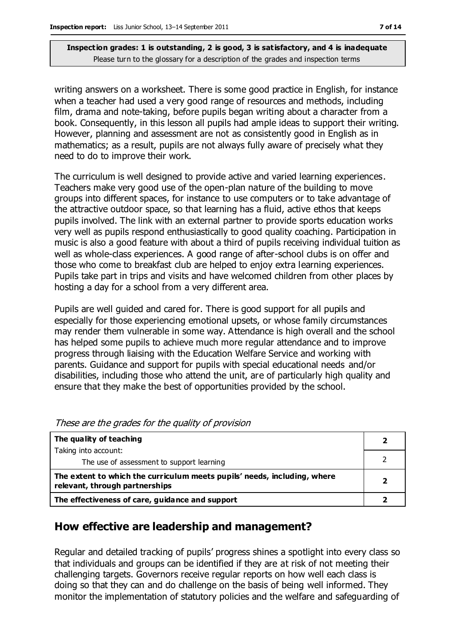writing answers on a worksheet. There is some good practice in English, for instance when a teacher had used a very good range of resources and methods, including film, drama and note-taking, before pupils began writing about a character from a book. Consequently, in this lesson all pupils had ample ideas to support their writing. However, planning and assessment are not as consistently good in English as in mathematics; as a result, pupils are not always fully aware of precisely what they need to do to improve their work.

The curriculum is well designed to provide active and varied learning experiences. Teachers make very good use of the open-plan nature of the building to move groups into different spaces, for instance to use computers or to take advantage of the attractive outdoor space, so that learning has a fluid, active ethos that keeps pupils involved. The link with an external partner to provide sports education works very well as pupils respond enthusiastically to good quality coaching. Participation in music is also a good feature with about a third of pupils receiving individual tuition as well as whole-class experiences. A good range of after-school clubs is on offer and those who come to breakfast club are helped to enjoy extra learning experiences. Pupils take part in trips and visits and have welcomed children from other places by hosting a day for a school from a very different area.

Pupils are well guided and cared for. There is good support for all pupils and especially for those experiencing emotional upsets, or whose family circumstances may render them vulnerable in some way. Attendance is high overall and the school has helped some pupils to achieve much more regular attendance and to improve progress through liaising with the Education Welfare Service and working with parents. Guidance and support for pupils with special educational needs and/or disabilities, including those who attend the unit, are of particularly high quality and ensure that they make the best of opportunities provided by the school.

| The quality of teaching                                                                                    |  |
|------------------------------------------------------------------------------------------------------------|--|
| Taking into account:                                                                                       |  |
| The use of assessment to support learning                                                                  |  |
| The extent to which the curriculum meets pupils' needs, including, where<br>relevant, through partnerships |  |
| The effectiveness of care, guidance and support                                                            |  |

These are the grades for the quality of provision

## **How effective are leadership and management?**

Regular and detailed tracking of pupils' progress shines a spotlight into every class so that individuals and groups can be identified if they are at risk of not meeting their challenging targets. Governors receive regular reports on how well each class is doing so that they can and do challenge on the basis of being well informed. They monitor the implementation of statutory policies and the welfare and safeguarding of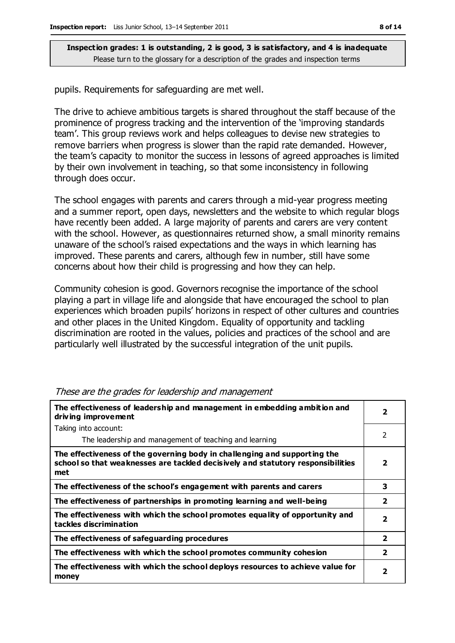pupils. Requirements for safeguarding are met well.

The drive to achieve ambitious targets is shared throughout the staff because of the prominence of progress tracking and the intervention of the 'improving standards team'. This group reviews work and helps colleagues to devise new strategies to remove barriers when progress is slower than the rapid rate demanded. However, the team's capacity to monitor the success in lessons of agreed approaches is limited by their own involvement in teaching, so that some inconsistency in following through does occur.

The school engages with parents and carers through a mid-year progress meeting and a summer report, open days, newsletters and the website to which regular blogs have recently been added. A large majority of parents and carers are very content with the school. However, as questionnaires returned show, a small minority remains unaware of the school's raised expectations and the ways in which learning has improved. These parents and carers, although few in number, still have some concerns about how their child is progressing and how they can help.

Community cohesion is good. Governors recognise the importance of the school playing a part in village life and alongside that have encouraged the school to plan experiences which broaden pupils' horizons in respect of other cultures and countries and other places in the United Kingdom. Equality of opportunity and tackling discrimination are rooted in the values, policies and practices of the school and are particularly well illustrated by the successful integration of the unit pupils.

| The effectiveness of leadership and management in embedding ambition and<br>driving improvement                                                                     |                         |
|---------------------------------------------------------------------------------------------------------------------------------------------------------------------|-------------------------|
| Taking into account:                                                                                                                                                |                         |
| The leadership and management of teaching and learning                                                                                                              | 2                       |
| The effectiveness of the governing body in challenging and supporting the<br>school so that weaknesses are tackled decisively and statutory responsibilities<br>met | $\overline{\mathbf{2}}$ |
| The effectiveness of the school's engagement with parents and carers                                                                                                | 3                       |
| The effectiveness of partnerships in promoting learning and well-being                                                                                              | $\overline{\mathbf{2}}$ |
| The effectiveness with which the school promotes equality of opportunity and<br>tackles discrimination                                                              | $\overline{2}$          |
| The effectiveness of safeguarding procedures                                                                                                                        | $\overline{\mathbf{2}}$ |
| The effectiveness with which the school promotes community cohesion                                                                                                 | $\overline{\mathbf{2}}$ |
| The effectiveness with which the school deploys resources to achieve value for<br>money                                                                             | 2                       |

These are the grades for leadership and management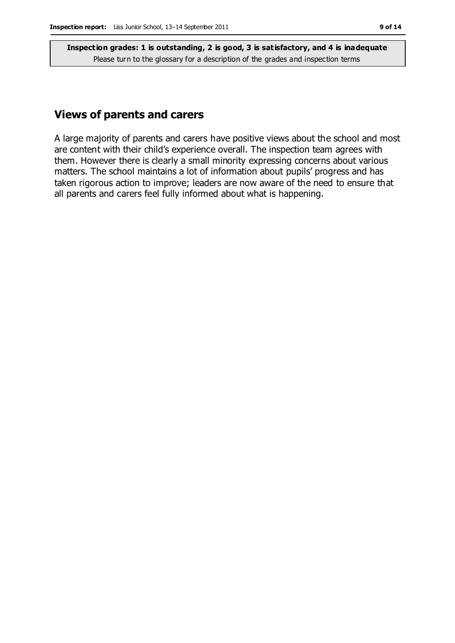## **Views of parents and carers**

A large majority of parents and carers have positive views about the school and most are content with their child's experience overall. The inspection team agrees with them. However there is clearly a small minority expressing concerns about various matters. The school maintains a lot of information about pupils' progress and has taken rigorous action to improve; leaders are now aware of the need to ensure that all parents and carers feel fully informed about what is happening.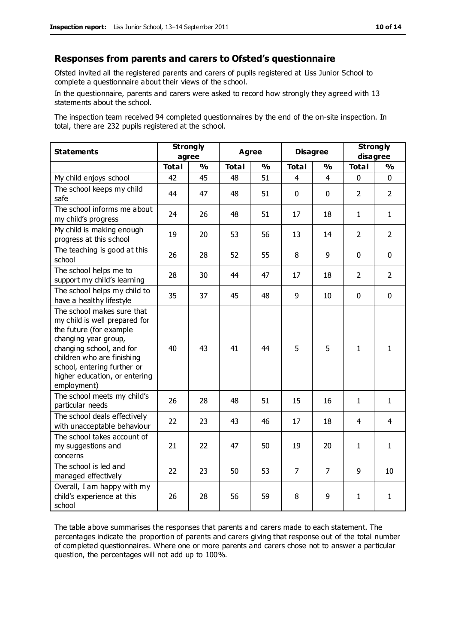#### **Responses from parents and carers to Ofsted's questionnaire**

Ofsted invited all the registered parents and carers of pupils registered at Liss Junior School to complete a questionnaire about their views of the school.

In the questionnaire, parents and carers were asked to record how strongly they agreed with 13 statements about the school.

The inspection team received 94 completed questionnaires by the end of the on-site inspection. In total, there are 232 pupils registered at the school.

| <b>Statements</b>                                                                                                                                                                                                                                       | <b>Strongly</b><br>agree |               | Agree        |               | <b>Disagree</b> |                | <b>Strongly</b><br>disagree |                |
|---------------------------------------------------------------------------------------------------------------------------------------------------------------------------------------------------------------------------------------------------------|--------------------------|---------------|--------------|---------------|-----------------|----------------|-----------------------------|----------------|
|                                                                                                                                                                                                                                                         | <b>Total</b>             | $\frac{1}{2}$ | <b>Total</b> | $\frac{1}{2}$ | <b>Total</b>    | %              | <b>Total</b>                | %              |
| My child enjoys school                                                                                                                                                                                                                                  | 42                       | 45            | 48           | 51            | 4               | 4              | $\mathbf{0}$                | $\mathbf{0}$   |
| The school keeps my child<br>safe                                                                                                                                                                                                                       | 44                       | 47            | 48           | 51            | $\mathbf 0$     | $\mathbf 0$    | $\overline{2}$              | $\overline{2}$ |
| The school informs me about<br>my child's progress                                                                                                                                                                                                      | 24                       | 26            | 48           | 51            | 17              | 18             | $\mathbf{1}$                | $\mathbf{1}$   |
| My child is making enough<br>progress at this school                                                                                                                                                                                                    | 19                       | 20            | 53           | 56            | 13              | 14             | $\overline{2}$              | $\overline{2}$ |
| The teaching is good at this<br>school                                                                                                                                                                                                                  | 26                       | 28            | 52           | 55            | 8               | 9              | $\mathbf 0$                 | $\mathbf 0$    |
| The school helps me to<br>support my child's learning                                                                                                                                                                                                   | 28                       | 30            | 44           | 47            | 17              | 18             | $\mathcal{P}$               | $\overline{2}$ |
| The school helps my child to<br>have a healthy lifestyle                                                                                                                                                                                                | 35                       | 37            | 45           | 48            | 9               | 10             | $\mathbf 0$                 | $\mathbf 0$    |
| The school makes sure that<br>my child is well prepared for<br>the future (for example<br>changing year group,<br>changing school, and for<br>children who are finishing<br>school, entering further or<br>higher education, or entering<br>employment) | 40                       | 43            | 41           | 44            | 5               | 5              | $\mathbf{1}$                | $\mathbf{1}$   |
| The school meets my child's<br>particular needs                                                                                                                                                                                                         | 26                       | 28            | 48           | 51            | 15              | 16             | $\mathbf{1}$                | $\mathbf{1}$   |
| The school deals effectively<br>with unacceptable behaviour                                                                                                                                                                                             | 22                       | 23            | 43           | 46            | 17              | 18             | 4                           | 4              |
| The school takes account of<br>my suggestions and<br>concerns                                                                                                                                                                                           | 21                       | 22            | 47           | 50            | 19              | 20             | $\mathbf{1}$                | $\mathbf{1}$   |
| The school is led and<br>managed effectively                                                                                                                                                                                                            | 22                       | 23            | 50           | 53            | $\overline{7}$  | $\overline{7}$ | 9                           | 10             |
| Overall, I am happy with my<br>child's experience at this<br>school                                                                                                                                                                                     | 26                       | 28            | 56           | 59            | 8               | 9              | $\mathbf{1}$                | $\mathbf{1}$   |

The table above summarises the responses that parents and carers made to each statement. The percentages indicate the proportion of parents and carers giving that response out of the total number of completed questionnaires. Where one or more parents and carers chose not to answer a particular question, the percentages will not add up to 100%.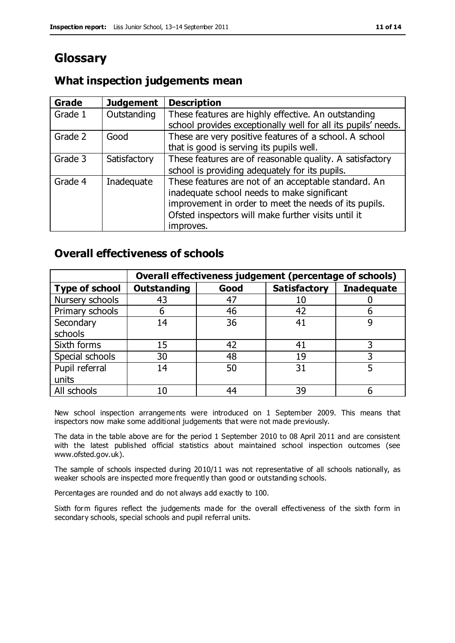# **Glossary**

## **What inspection judgements mean**

| <b>Grade</b> | <b>Judgement</b> | <b>Description</b>                                            |
|--------------|------------------|---------------------------------------------------------------|
| Grade 1      | Outstanding      | These features are highly effective. An outstanding           |
|              |                  | school provides exceptionally well for all its pupils' needs. |
| Grade 2      | Good             | These are very positive features of a school. A school        |
|              |                  | that is good is serving its pupils well.                      |
| Grade 3      | Satisfactory     | These features are of reasonable quality. A satisfactory      |
|              |                  | school is providing adequately for its pupils.                |
| Grade 4      | Inadequate       | These features are not of an acceptable standard. An          |
|              |                  | inadequate school needs to make significant                   |
|              |                  | improvement in order to meet the needs of its pupils.         |
|              |                  | Ofsted inspectors will make further visits until it           |
|              |                  | improves.                                                     |

## **Overall effectiveness of schools**

|                       | Overall effectiveness judgement (percentage of schools) |      |                     |                   |
|-----------------------|---------------------------------------------------------|------|---------------------|-------------------|
| <b>Type of school</b> | <b>Outstanding</b>                                      | Good | <b>Satisfactory</b> | <b>Inadequate</b> |
| Nursery schools       | 43                                                      | 47   |                     |                   |
| Primary schools       | h                                                       | 46   | 42                  |                   |
| Secondary             | 14                                                      | 36   | 41                  |                   |
| schools               |                                                         |      |                     |                   |
| Sixth forms           | 15                                                      | 42   | 41                  | 3                 |
| Special schools       | 30                                                      | 48   | 19                  |                   |
| Pupil referral        | 14                                                      | 50   | 31                  |                   |
| units                 |                                                         |      |                     |                   |
| All schools           | 10                                                      | 44   | 39                  |                   |

New school inspection arrangements were introduced on 1 September 2009. This means that inspectors now make some additional judgements that were not made previously.

The data in the table above are for the period 1 September 2010 to 08 April 2011 and are consistent with the latest published official statistics about maintained school inspection outcomes (see www.ofsted.gov.uk).

The sample of schools inspected during 2010/11 was not representative of all schools nationally, as weaker schools are inspected more frequently than good or outstanding schools.

Percentages are rounded and do not always add exactly to 100.

Sixth form figures reflect the judgements made for the overall effectiveness of the sixth form in secondary schools, special schools and pupil referral units.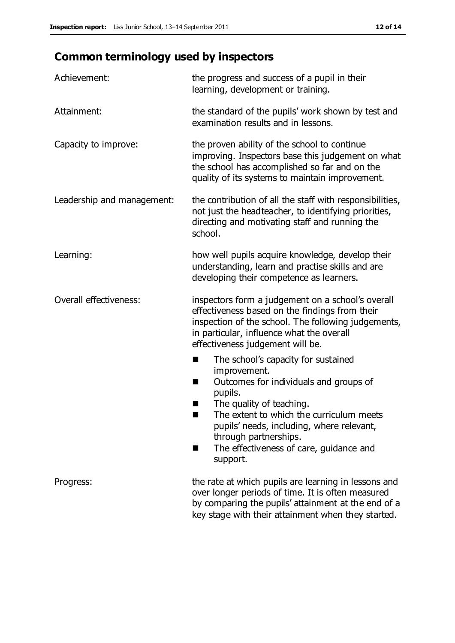# **Common terminology used by inspectors**

| Achievement:                  | the progress and success of a pupil in their<br>learning, development or training.                                                                                                                                                                                                                                           |  |  |
|-------------------------------|------------------------------------------------------------------------------------------------------------------------------------------------------------------------------------------------------------------------------------------------------------------------------------------------------------------------------|--|--|
| Attainment:                   | the standard of the pupils' work shown by test and<br>examination results and in lessons.                                                                                                                                                                                                                                    |  |  |
| Capacity to improve:          | the proven ability of the school to continue<br>improving. Inspectors base this judgement on what<br>the school has accomplished so far and on the<br>quality of its systems to maintain improvement.                                                                                                                        |  |  |
| Leadership and management:    | the contribution of all the staff with responsibilities,<br>not just the headteacher, to identifying priorities,<br>directing and motivating staff and running the<br>school.                                                                                                                                                |  |  |
| Learning:                     | how well pupils acquire knowledge, develop their<br>understanding, learn and practise skills and are<br>developing their competence as learners.                                                                                                                                                                             |  |  |
| <b>Overall effectiveness:</b> | inspectors form a judgement on a school's overall<br>effectiveness based on the findings from their<br>inspection of the school. The following judgements,<br>in particular, influence what the overall<br>effectiveness judgement will be.                                                                                  |  |  |
|                               | The school's capacity for sustained<br>■<br>improvement.<br>Outcomes for individuals and groups of<br>H<br>pupils.<br>The quality of teaching.<br>The extent to which the curriculum meets<br>pupils' needs, including, where relevant,<br>through partnerships.<br>The effectiveness of care, guidance and<br>٠<br>support. |  |  |
| Progress:                     | the rate at which pupils are learning in lessons and<br>over longer periods of time. It is often measured<br>by comparing the pupils' attainment at the end of a<br>key stage with their attainment when they started.                                                                                                       |  |  |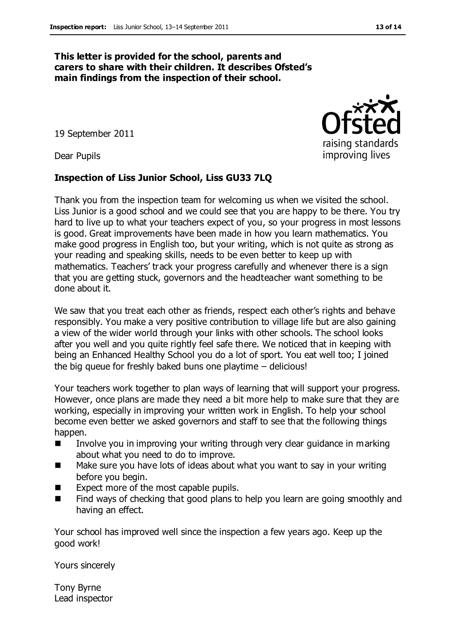#### **This letter is provided for the school, parents and carers to share with their children. It describes Ofsted's main findings from the inspection of their school.**

19 September 2011

Dear Pupils

#### **Inspection of Liss Junior School, Liss GU33 7LQ**

Thank you from the inspection team for welcoming us when we visited the school. Liss Junior is a good school and we could see that you are happy to be there. You try hard to live up to what your teachers expect of you, so your progress in most lessons is good. Great improvements have been made in how you learn mathematics. You make good progress in English too, but your writing, which is not quite as strong as your reading and speaking skills, needs to be even better to keep up with mathematics. Teachers' track your progress carefully and whenever there is a sign that you are getting stuck, governors and the headteacher want something to be done about it.

We saw that you treat each other as friends, respect each other's rights and behave responsibly. You make a very positive contribution to village life but are also gaining a view of the wider world through your links with other schools. The school looks after you well and you quite rightly feel safe there. We noticed that in keeping with being an Enhanced Healthy School you do a lot of sport. You eat well too; I joined the big queue for freshly baked buns one playtime – delicious!

Your teachers work together to plan ways of learning that will support your progress. However, once plans are made they need a bit more help to make sure that they are working, especially in improving your written work in English. To help your school become even better we asked governors and staff to see that the following things happen.

- Involve you in improving your writing through very clear guidance in marking about what you need to do to improve.
- Make sure you have lots of ideas about what you want to say in your writing before you begin.
- Expect more of the most capable pupils.
- Find ways of checking that good plans to help you learn are going smoothly and having an effect.

Your school has improved well since the inspection a few years ago. Keep up the good work!

Yours sincerely

Tony Byrne Lead inspector